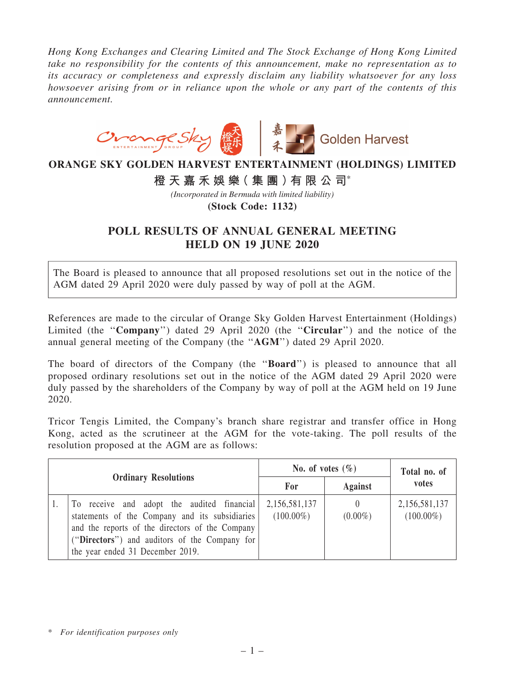*Hong Kong Exchanges and Clearing Limited and The Stock Exchange of Hong Kong Limited take no responsibility for the contents of this announcement, make no representation as to its accuracy or completeness and expressly disclaim any liability whatsoever for any loss howsoever arising from or in reliance upon the whole or any part of the contents of this announcement.*



## **ORANGE SKY GOLDEN HARVEST ENTERTAINMENT (HOLDINGS) LIMITED**

**橙 天 嘉 禾 娛 樂( 集 團 )有 限 公 司**\*

*(Incorporated in Bermuda with limited liability)*

**(Stock Code: 1132)**

## POLL RESULTS OF ANNUAL GENERAL MEETING HELD ON 19 JUNE 2020

The Board is pleased to announce that all proposed resolutions set out in the notice of the AGM dated 29 April 2020 were duly passed by way of poll at the AGM.

References are made to the circular of Orange Sky Golden Harvest Entertainment (Holdings) Limited (the "Company") dated 29 April 2020 (the "Circular") and the notice of the annual general meeting of the Company (the ''AGM'') dated 29 April 2020.

The board of directors of the Company (the "**Board**") is pleased to announce that all proposed ordinary resolutions set out in the notice of the AGM dated 29 April 2020 were duly passed by the shareholders of the Company by way of poll at the AGM held on 19 June 2020.

Tricor Tengis Limited, the Company's branch share registrar and transfer office in Hong Kong, acted as the scrutineer at the AGM for the vote-taking. The poll results of the resolution proposed at the AGM are as follows:

| <b>Ordinary Resolutions</b> |                                                                                                                                                                                                                                      | No. of votes $(\% )$          |                        | Total no. of                  |
|-----------------------------|--------------------------------------------------------------------------------------------------------------------------------------------------------------------------------------------------------------------------------------|-------------------------------|------------------------|-------------------------------|
|                             |                                                                                                                                                                                                                                      | For                           | <b>Against</b>         | votes                         |
|                             | To receive and adopt the audited financial<br>statements of the Company and its subsidiaries<br>and the reports of the directors of the Company<br>("Directors") and auditors of the Company for<br>the year ended 31 December 2019. | 2,156,581,137<br>$(100.00\%)$ | $\theta$<br>$(0.00\%)$ | 2,156,581,137<br>$(100.00\%)$ |

\* *For identification purposes only*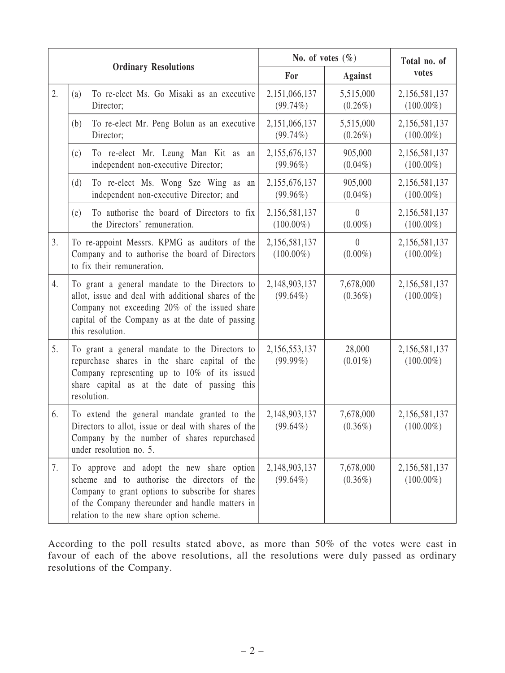| <b>Ordinary Resolutions</b> |                                                                                                                                                                                                                                              | No. of votes $(\% )$          |                              | Total no. of                  |
|-----------------------------|----------------------------------------------------------------------------------------------------------------------------------------------------------------------------------------------------------------------------------------------|-------------------------------|------------------------------|-------------------------------|
|                             |                                                                                                                                                                                                                                              | For                           | <b>Against</b>               | votes                         |
| 2.                          | To re-elect Ms. Go Misaki as an executive<br>(a)<br>Director;                                                                                                                                                                                | 2,151,066,137<br>$(99.74\%)$  | 5,515,000<br>$(0.26\%)$      | 2,156,581,137<br>$(100.00\%)$ |
|                             | To re-elect Mr. Peng Bolun as an executive<br>(b)<br>Director;                                                                                                                                                                               | 2,151,066,137<br>$(99.74\%)$  | 5,515,000<br>$(0.26\%)$      | 2,156,581,137<br>$(100.00\%)$ |
|                             | To re-elect Mr. Leung Man Kit as an<br>(c)<br>independent non-executive Director;                                                                                                                                                            | 2,155,676,137<br>$(99.96\%)$  | 905,000<br>$(0.04\%)$        | 2,156,581,137<br>$(100.00\%)$ |
|                             | To re-elect Ms. Wong Sze Wing as<br>(d)<br>an<br>independent non-executive Director; and                                                                                                                                                     | 2,155,676,137<br>$(99.96\%)$  | 905,000<br>$(0.04\%)$        | 2,156,581,137<br>$(100.00\%)$ |
|                             | To authorise the board of Directors to fix<br>(e)<br>the Directors' remuneration.                                                                                                                                                            | 2,156,581,137<br>$(100.00\%)$ | $\theta$<br>$(0.00\%)$       | 2,156,581,137<br>$(100.00\%)$ |
| 3.                          | To re-appoint Messrs. KPMG as auditors of the<br>Company and to authorise the board of Directors<br>to fix their remuneration.                                                                                                               | 2,156,581,137<br>$(100.00\%)$ | $\overline{0}$<br>$(0.00\%)$ | 2,156,581,137<br>$(100.00\%)$ |
| 4.                          | To grant a general mandate to the Directors to<br>allot, issue and deal with additional shares of the<br>Company not exceeding 20% of the issued share<br>capital of the Company as at the date of passing<br>this resolution.               | 2,148,903,137<br>$(99.64\%)$  | 7,678,000<br>$(0.36\%)$      | 2,156,581,137<br>$(100.00\%)$ |
| 5.                          | To grant a general mandate to the Directors to<br>repurchase shares in the share capital of the<br>Company representing up to 10% of its issued<br>share capital as at the date of passing this<br>resolution.                               | 2,156,553,137<br>$(99.99\%)$  | 28,000<br>$(0.01\%)$         | 2,156,581,137<br>$(100.00\%)$ |
| 6.                          | To extend the general mandate granted to the<br>Directors to allot, issue or deal with shares of the<br>Company by the number of shares repurchased<br>under resolution no. 5.                                                               | 2,148,903,137<br>$(99.64\%)$  | 7,678,000<br>$(0.36\%)$      | 2,156,581,137<br>$(100.00\%)$ |
| 7.                          | To approve and adopt the new share option<br>scheme and to authorise the directors of the<br>Company to grant options to subscribe for shares<br>of the Company thereunder and handle matters in<br>relation to the new share option scheme. | 2,148,903,137<br>$(99.64\%)$  | 7,678,000<br>$(0.36\%)$      | 2,156,581,137<br>$(100.00\%)$ |

According to the poll results stated above, as more than 50% of the votes were cast in favour of each of the above resolutions, all the resolutions were duly passed as ordinary resolutions of the Company.